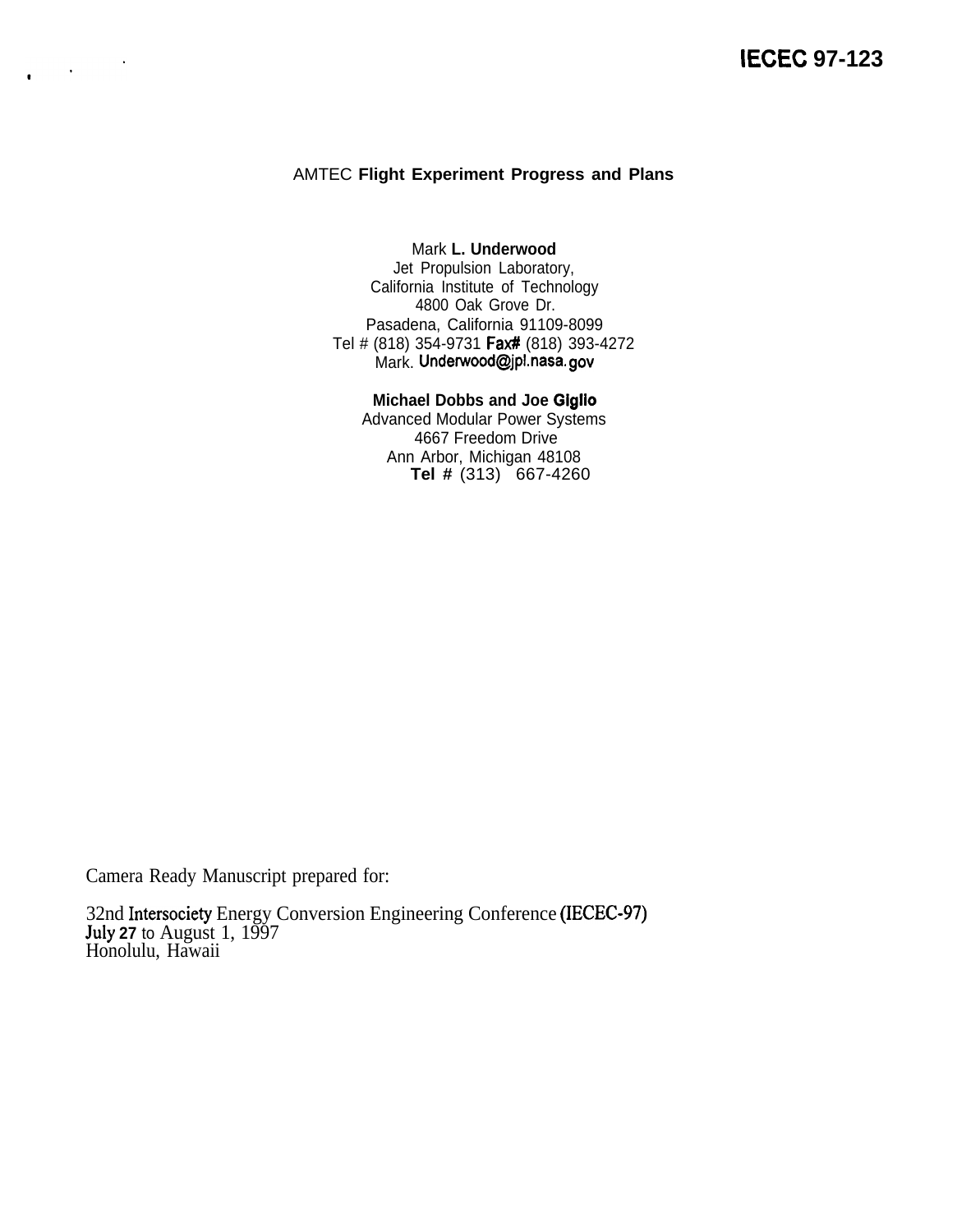### AMTEC **Flight Experiment Progress and Plans**

Mark **L. Underwood** Jet Propulsion Laboratory, California Institute of Technology 4800 Oak Grove Dr. Pasadena, California 91109-8099 Tel # (818) 354-9731 Fax# (818) 393-4272 Mark. Underwood@jpl.nasa. gov

#### **Michael Dobbs and Joe Giglio**

Advanced Modular Power Systems 4667 Freedom Drive Ann Arbor, Michigan 48108 **Tel #** (313) 667-4260

Camera Ready Manuscript prepared for:

 $\mathcal{L}_{\text{max}}$  ,  $\mathcal{L}_{\text{max}}$ 

 $\bullet$ 

32nd Intersociety Energy Conversion Engineering Conference (IECEC-97) **hdy 27** to August 1, 1997 Honolulu, Hawaii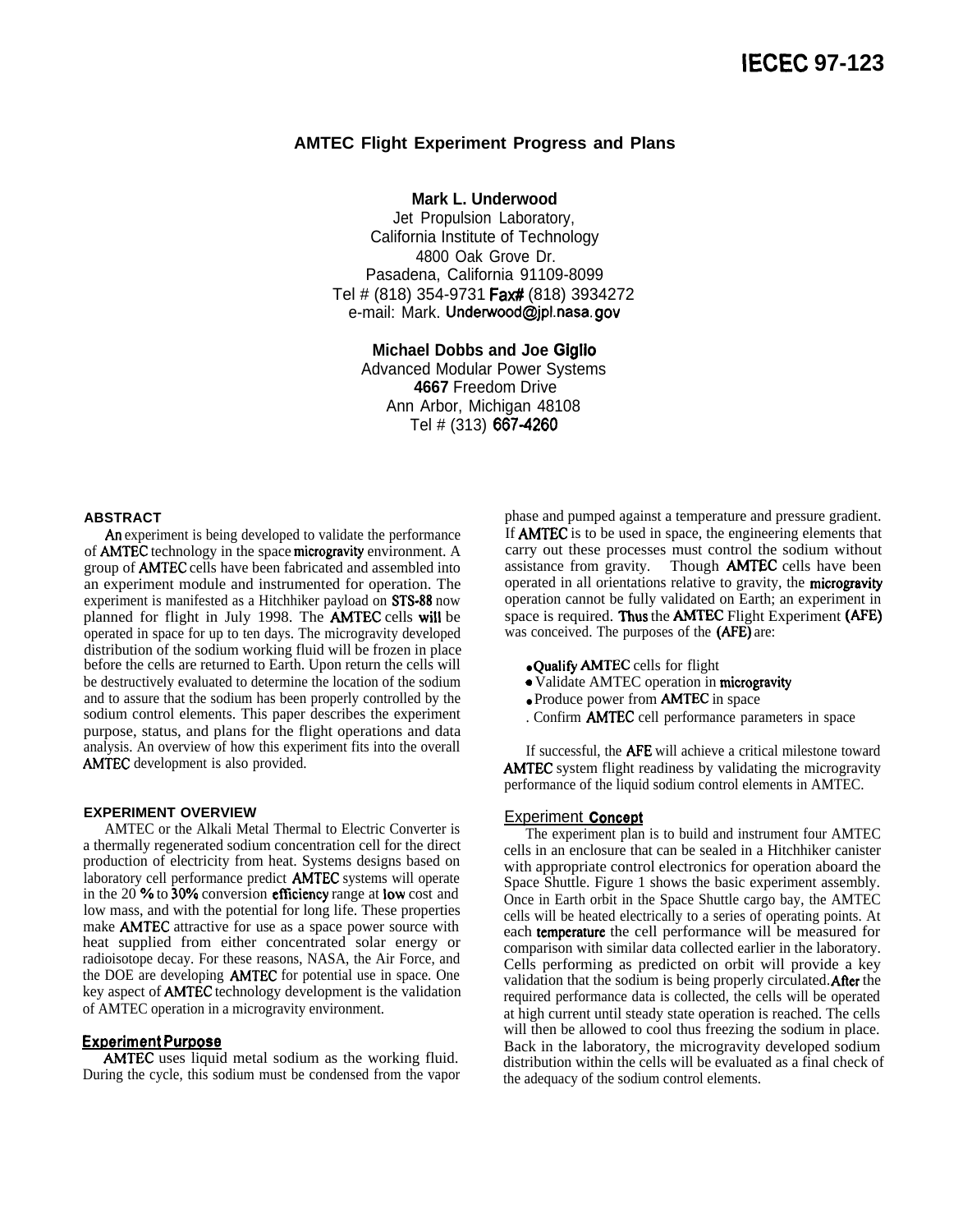#### **AMTEC Flight Experiment Progress and Plans**

**Mark L. Underwood**

Jet Propulsion Laboratory, California Institute of Technology 4800 Oak Grove Dr. Pasadena, California 91109-8099 Tel # (818) 354-9731 Fax# (818) 3934272 e-mail: Mark. Underwood@jpl.nasa. gov

**Michael Dobbs and Joe Giglio** Advanced Modular Power Systems **4667** Freedom Drive Ann Arbor, Michigan 48108 Tel # (313) 667-4260

#### **ABSTRACT**

An experiment is being developed to validate the performance of AMTEC technology in the space microgravity environment. A group of AMTEC cells have been fabricated and assembled into an experiment module and instrumented for operation. The experiment is manifested as a Hitchhiker payload on STS-88 now planned for flight in July 1998. The AMTEC cells will be operated in space for up to ten days. The microgravity developed distribution of the sodium working fluid will be frozen in place before the cells are returned to Earth. Upon return the cells will be destructively evaluated to determine the location of the sodium and to assure that the sodium has been properly controlled by the sodium control elements. This paper describes the experiment purpose, status, and plans for the flight operations and data analysis. An overview of how this experiment fits into the overall AMTEC development is also provided.

#### **EXPERIMENT OVERVIEW**

AMTEC or the Alkali Metal Thermal to Electric Converter is a thermally regenerated sodium concentration cell for the direct production of electricity from heat. Systems designs based on laboratory cell performance predict AMTEC systems will operate in the 20 '4 to *300/o* conversion efficiency range at low cost and low mass, and with the potential for long life. These properties make AMTEC attractive for use as a space power source with heat supplied from either concentrated solar energy or radioisotope decay. For these reasons, NASA, the Air Force, and the DOE are developing AMTEC for potential use in space. One key aspect of AMTEC technology development is the validation of AMTEC operation in a microgravity environment.

#### **Experiment Purpose**

AMTEC uses liquid metal sodium as the working fluid. During the cycle, this sodium must be condensed from the vapor phase and pumped against a temperature and pressure gradient. If AMTEC is to be used in space, the engineering elements that carry out these processes must control the sodium without assistance from gravity. Though **AMTEC** cells have been operated in all orientations relative to gravity, the microgravity operation cannot be fully validated on Earth; an experiment in space is required. Thus the AMTEC Flight Experiment (AFE) was conceived. The purposes of the (AFE) are:

- Qualify AMTEC cells for flight
- Validate AMTEC operation in microgravity
- Produce power from **AMTEC** in space
- . Confirm AMTEC cell performance parameters in space

If successful, the AFE will achieve a critical milestone toward AMTEC system flight readiness by validating the microgravity performance of the liquid sodium control elements in AMTEC.

#### **Experiment Concept**

The experiment plan is to build and instrument four AMTEC cells in an enclosure that can be sealed in a Hitchhiker canister with appropriate control electronics for operation aboard the Space Shuttle. Figure 1 shows the basic experiment assembly. Once in Earth orbit in the Space Shuttle cargo bay, the AMTEC cells will be heated electrically to a series of operating points. At each temperature the cell performance will be measured for comparison with similar data collected earlier in the laboratory. Cells performing as predicted on orbit will provide a key validation that the sodium is being properly circulated. After the required performance data is collected, the cells will be operated at high current until steady state operation is reached. The cells will then be allowed to cool thus freezing the sodium in place. Back in the laboratory, the microgravity developed sodium distribution within the cells will be evaluated as a final check of the adequacy of the sodium control elements.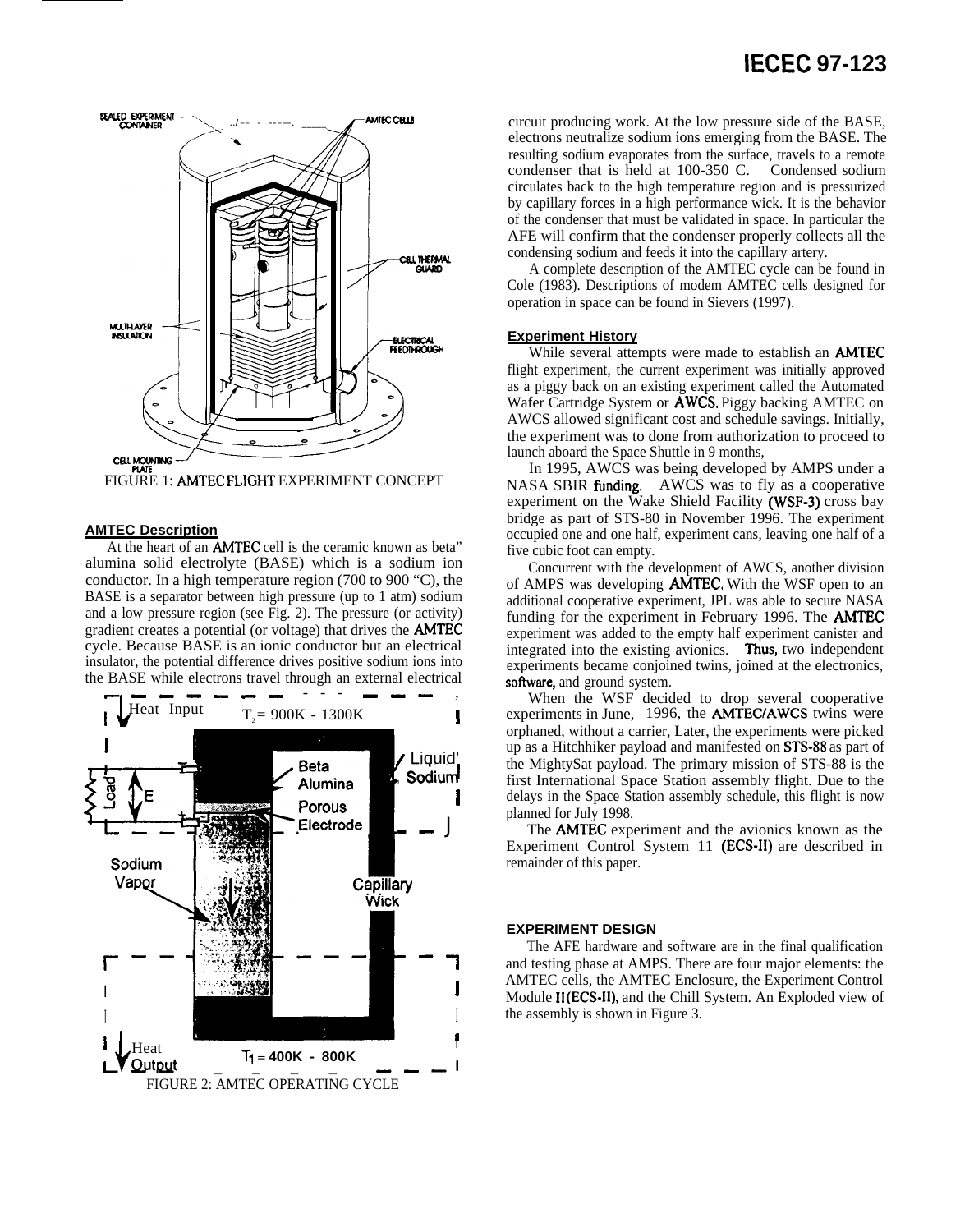# SEALED EXPERIMENT AMTEC CELLS **CELL THERMAL MULTHAYER**<br>INSULATION **ELECTRICAL**<br>FEEDTHROUGH

**CELL MOUNTING** FIGURE 1: AMTEC FLIGHT EXPERIMENT CONCEPT

#### **AMTEC Description**

At the heart of an **AMTEC** cell is the ceramic known as beta" alumina solid electrolyte (BASE) which is a sodium ion conductor. In a high temperature region (700 to 900 "C), the BASE is a separator between high pressure (up to 1 atm) sodium and a low pressure region (see Fig. 2). The pressure (or activity) gradient creates a potential (or voltage) that drives the **AMTEC** cycle. Because BASE is an ionic conductor but an electrical insulator, the potential difference drives positive sodium ions into the BASE while electrons travel through an external electrical



## **IECEC 97-123**

circuit producing work. At the low pressure side of the BASE, electrons neutralize sodium ions emerging from the BASE. The resulting sodium evaporates from the surface, travels to a remote condenser that is held at 100-350 C. Condensed sodium circulates back to the high temperature region and is pressurized by capillary forces in a high performance wick. It is the behavior of the condenser that must be validated in space. In particular the AFE will confirm that the condenser properly collects all the condensing sodium and feeds it into the capillary artery.

A complete description of the AMTEC cycle can be found in Cole (1983). Descriptions of modem AMTEC cells designed for operation in space can be found in Sievers (1997).

#### **Experiment History**

While several attempts were made to establish an **AMTEC** flight experiment, the current experiment was initially approved as a piggy back on an existing experiment called the Automated Wafer Cartridge System or AWCS. Piggy backing AMTEC on AWCS allowed significant cost and schedule savings. Initially, the experiment was to done from authorization to proceed to launch aboard the Space Shuttle in 9 months,

In 1995, AWCS was being developed by AMPS under a NASA SBIR funding. AWCS was to fly as a cooperative experiment on the Wake Shield Facility (WSF-3) cross bay bridge as part of STS-80 in November 1996. The experiment occupied one and one half, experiment cans, leaving one half of a five cubic foot can empty.

Concurrent with the development of AWCS, another division of AMPS was developing **AMTEC**. With the WSF open to an additional cooperative experiment, JPL was able to secure NASA funding for the experiment in February 1996. The **AMTEC** experiment was added to the empty half experiment canister and integrated into the existing avionics. Thus, two independent experiments became conjoined twins, joined at the electronics, software, and ground system.

When the WSF decided to drop several cooperative experiments in June, 1996, the **AMTEC/AWCS** twins were orphaned, without a carrier, Later, the experiments were picked up as a Hitchhiker payload and manifested on STS-88 as part of the MightySat payload. The primary mission of STS-88 is the first International Space Station assembly flight. Due to the delays in the Space Station assembly schedule, this flight is now planned for July 1998.

The **AMTEC** experiment and the avionics known as the Experiment Control System 11 (ECS-II) are described in remainder of this paper.

#### **EXPERIMENT DESIGN**

The AFE hardware and software are in the final qualification and testing phase at AMPS. There are four major elements: the AMTEC cells, the AMTEC Enclosure, the Experiment Control Module II(ECS-II), and the Chill System. An Exploded view of the assembly is shown in Figure 3.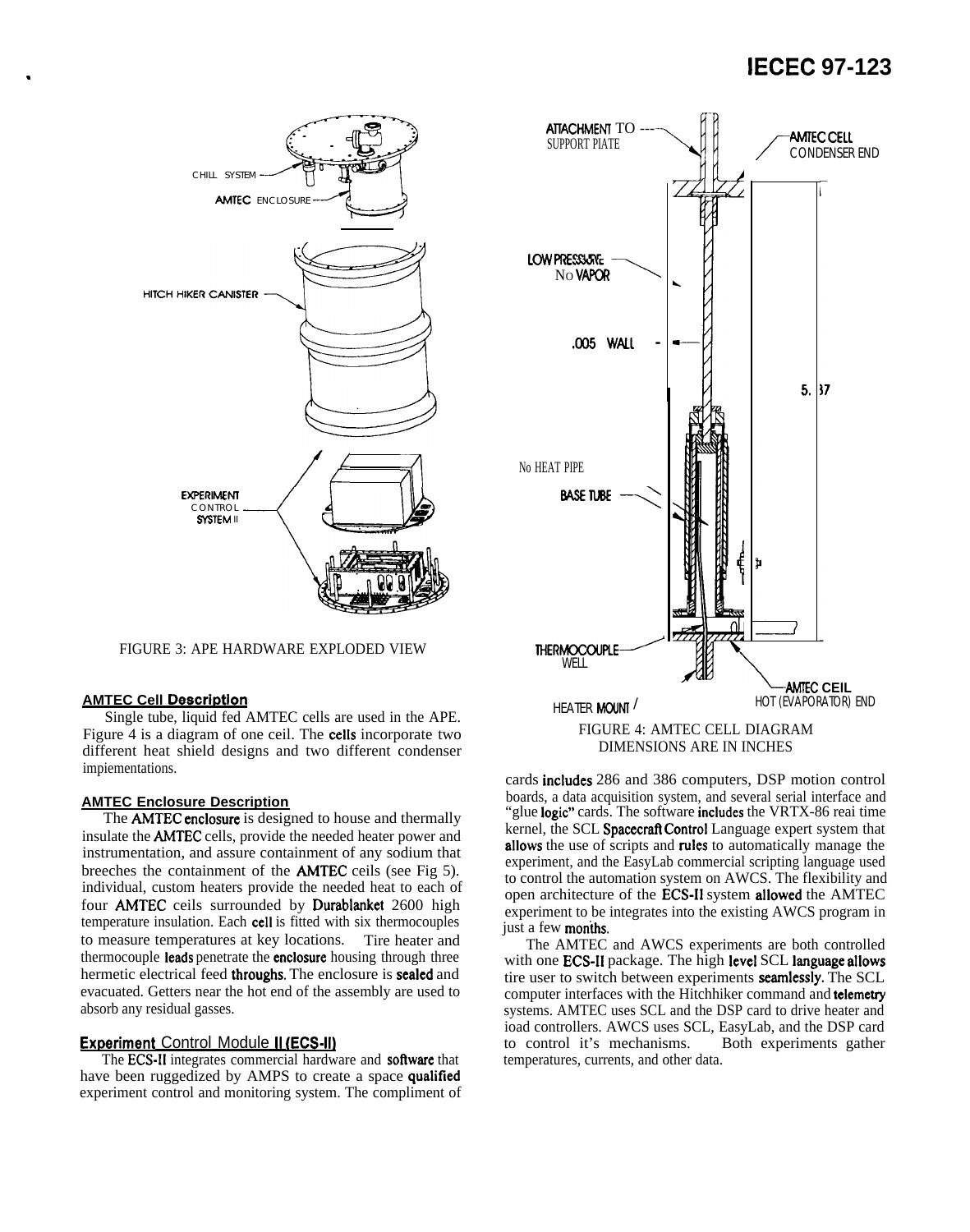

FIGURE 3: APE HARDWARE EXPLODED VIEW

#### **AMTEC Cell Description**

Single tube, liquid fed AMTEC cells are used in the APE. Figure 4 is a diagram of one ceil. The **cells** incorporate two different heat shield designs and two different condenser impiementations.

#### **AMTEC Enclosure Description**

The **AMTEC** enclosure is designed to house and thermally insulate the **AMTEC** cells, provide the needed heater power and instrumentation, and assure containment of any sodium that breeches the containment of the **AMTEC** ceils (see Fig 5). individual, custom heaters provide the needed heat to each of four AMTEC ceils surrounded by Durablanket 2600 high temperature insulation. Each cell is fitted with six thermocouples to measure temperatures at key locations. Tire heater and thermocouple leads penetrate the enclosure housing through three hermetic electrical feed throughs. The enclosure is sealed and evacuated. Getters near the hot end of the assembly are used to absorb any residual gasses.

#### **Experiment Control Module II (ECS-II)**

The ECS-II integrates commercial hardware and software that have been ruggedized by AMPS to create a space qualified experiment control and monitoring system. The compliment of



cards includes 286 and 386 computers, DSP motion control boards, a data acquisition system, and several serial interface and "glue **logic"** cards. The software **includes** the VRTX-86 real time kernel, the SCL Spacecraft Control Language expert system that allows the use of scripts and rules to automatically manage the experiment, and the EasyLab commercial scripting language used to control the automation system on AWCS. The flexibility and open architecture of the ECS-II system allowed the AMTEC experiment to be integrates into the existing AWCS program in just a few months.

The AMTEC and AWCS experiments are both controlled with one **ECS-II** package. The high level SCL language allows tire user to switch between experiments seamlessly. The SCL computer interfaces with the Hitchhiker command and telemetry systems. AMTEC uses SCL and the DSP card to drive heater and ioad controllers. AWCS uses SCL, EasyLab, and the DSP card to control it's mechanisms. Both experiments gather temperatures, currents, and other data.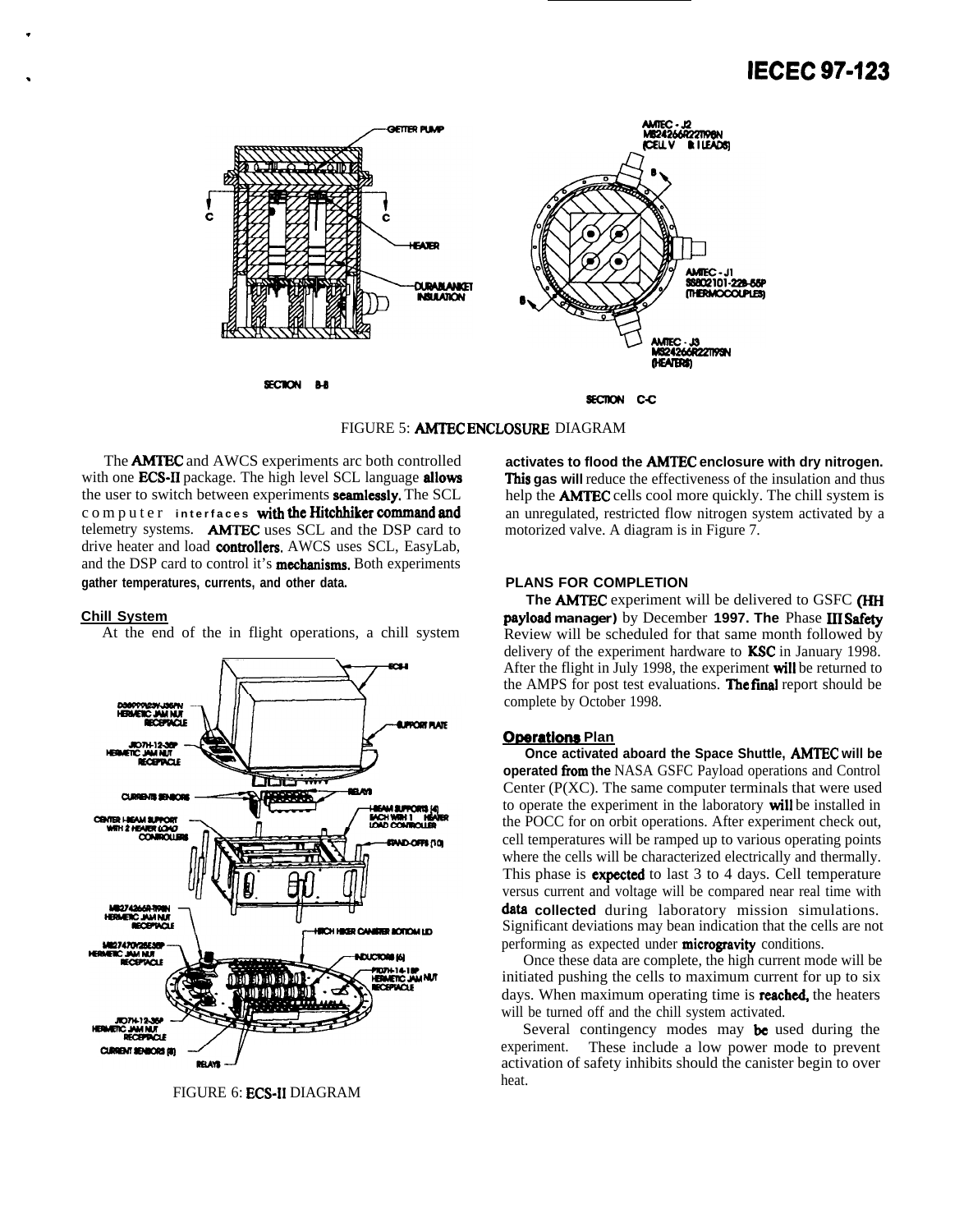# . **IECEC 97423**



FIGURE 5: **AMTEC ENCLOSURE** DIAGRAM

The **AMTEC** and AWCS experiments arc both controlled with one **ECS-II** package. The high level SCL language **allows** the user to switch between experiments **seamlessly**. The SCL computer interfaces with the **Hitchhiker command and** telemetry systems. AMTEC uses SCL and the DSP card to drive heater and load controllers. AWCS uses SCL, EasyLab, and the DSP card to control it's **mechanisms**. Both experiments **gather temperatures, currents, and other data.**

#### **Chill System**

.

At the end of the in flight operations, a chill system



FIGURE 6: ECS-11 DIAGRAM

**activates to flood the AMTEC enclosure with dry nitrogen. This gas will** reduce the effectiveness of the insulation and thus help the **AMTEC** cells cool more quickly. The chill system is an unregulated, restricted flow nitrogen system activated by a motorized valve. A diagram is in Figure 7.

#### **PLANS FOR COMPLETION**

The **AMTEC** experiment will be delivered to GSFC (HH **payload manager)** by December 1997. The Phase III Safety Review will be scheduled for that same month followed by delivery of the experiment hardware to KSC in January 1998. After the flight in July 1998, the experiment will be returned to the AMPS for post test evaluations. The final report should be complete by October 1998.

#### **Operations Plan**

**Once activated aboard the Space Shuttle, AMTEC will be operated from the NASA GSFC Payload operations and Control** Center (P(XC). The same computer terminals that were used to operate the experiment in the laboratory will be installed in the POCC for on orbit operations. After experiment check out, cell temperatures will be ramped up to various operating points where the cells will be characterized electrically and thermally. This phase is **expected** to last 3 to 4 days. Cell temperature versus current and voltage will be compared near real time with data collected during laboratory mission simulations. Significant deviations may bean indication that the cells are not performing as expected under **microgravity** conditions.

Once these data are complete, the high current mode will be initiated pushing the cells to maximum current for up to six days. When maximum operating time is **reached**, the heaters will be turned off and the chill system activated.

Several contingency modes may be used during the experiment. These include a low power mode to prevent activation of safety inhibits should the canister begin to over heat.